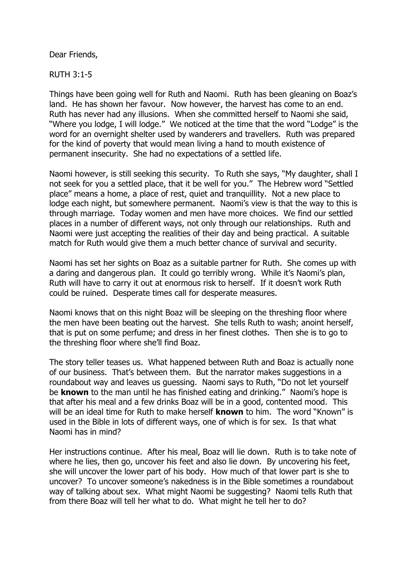Dear Friends,

RUTH 3:1-5

Things have been going well for Ruth and Naomi. Ruth has been gleaning on Boaz's land. He has shown her favour. Now however, the harvest has come to an end. Ruth has never had any illusions. When she committed herself to Naomi she said, "Where you lodge, I will lodge." We noticed at the time that the word "Lodge" is the word for an overnight shelter used by wanderers and travellers. Ruth was prepared for the kind of poverty that would mean living a hand to mouth existence of permanent insecurity. She had no expectations of a settled life.

Naomi however, is still seeking this security. To Ruth she says, "My daughter, shall I not seek for you a settled place, that it be well for you." The Hebrew word "Settled place" means a home, a place of rest, quiet and tranquillity. Not a new place to lodge each night, but somewhere permanent. Naomi's view is that the way to this is through marriage. Today women and men have more choices. We find our settled places in a number of different ways, not only through our relationships. Ruth and Naomi were just accepting the realities of their day and being practical. A suitable match for Ruth would give them a much better chance of survival and security.

Naomi has set her sights on Boaz as a suitable partner for Ruth. She comes up with a daring and dangerous plan. It could go terribly wrong. While it's Naomi's plan, Ruth will have to carry it out at enormous risk to herself. If it doesn't work Ruth could be ruined. Desperate times call for desperate measures.

Naomi knows that on this night Boaz will be sleeping on the threshing floor where the men have been beating out the harvest. She tells Ruth to wash; anoint herself, that is put on some perfume; and dress in her finest clothes. Then she is to go to the threshing floor where she'll find Boaz.

The story teller teases us. What happened between Ruth and Boaz is actually none of our business. That's between them. But the narrator makes suggestions in a roundabout way and leaves us guessing. Naomi says to Ruth, "Do not let yourself be **known** to the man until he has finished eating and drinking." Naomi's hope is that after his meal and a few drinks Boaz will be in a good, contented mood. This will be an ideal time for Ruth to make herself **known** to him. The word "Known" is used in the Bible in lots of different ways, one of which is for sex. Is that what Naomi has in mind?

Her instructions continue. After his meal, Boaz will lie down. Ruth is to take note of where he lies, then go, uncover his feet and also lie down. By uncovering his feet, she will uncover the lower part of his body. How much of that lower part is she to uncover? To uncover someone's nakedness is in the Bible sometimes a roundabout way of talking about sex. What might Naomi be suggesting? Naomi tells Ruth that from there Boaz will tell her what to do. What might he tell her to do?